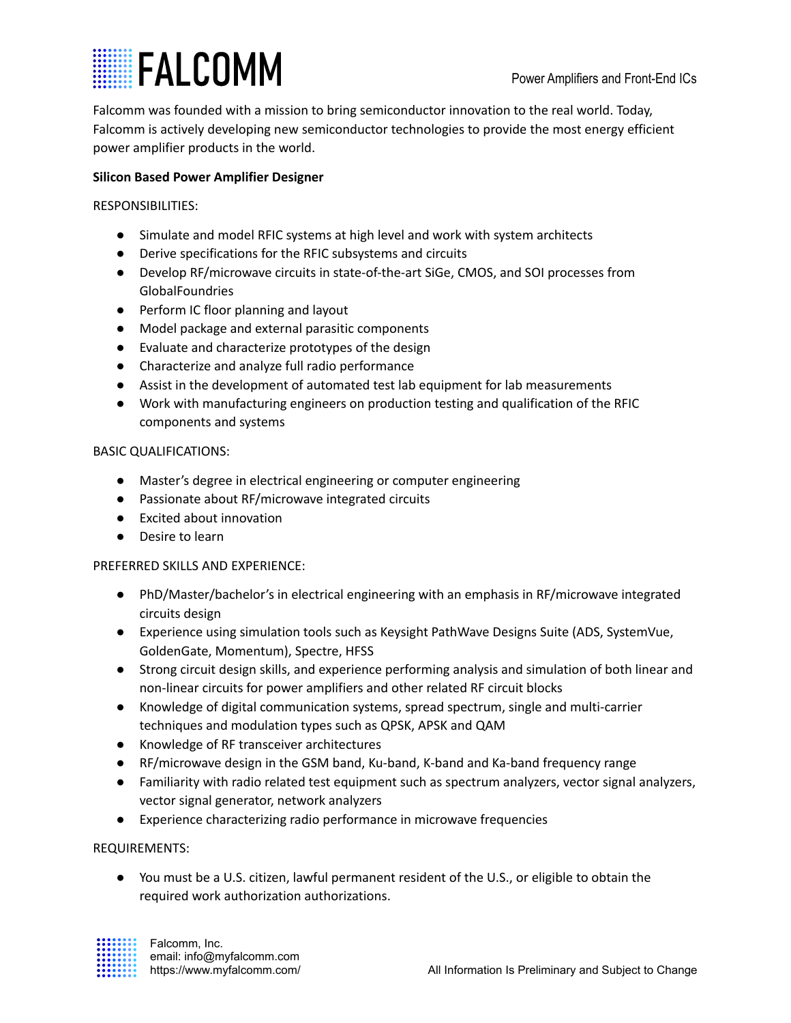

Falcomm was founded with a mission to bring semiconductor innovation to the real world. Today, Falcomm is actively developing new semiconductor technologies to provide the most energy efficient power amplifier products in the world.

## **Silicon Based Power Amplifier Designer**

#### RESPONSIBILITIES:

- Simulate and model RFIC systems at high level and work with system architects
- Derive specifications for the RFIC subsystems and circuits
- Develop RF/microwave circuits in state-of-the-art SiGe, CMOS, and SOI processes from **GlobalFoundries**
- Perform IC floor planning and layout
- Model package and external parasitic components
- Evaluate and characterize prototypes of the design
- Characterize and analyze full radio performance
- Assist in the development of automated test lab equipment for lab measurements
- Work with manufacturing engineers on production testing and qualification of the RFIC components and systems

#### BASIC QUALIFICATIONS:

- Master's degree in electrical engineering or computer engineering
- Passionate about RF/microwave integrated circuits
- Excited about innovation
- Desire to learn

## PREFERRED SKILLS AND EXPERIENCE:

- PhD/Master/bachelor's in electrical engineering with an emphasis in RF/microwave integrated circuits design
- Experience using simulation tools such as Keysight PathWave Designs Suite (ADS, SystemVue, GoldenGate, Momentum), Spectre, HFSS
- Strong circuit design skills, and experience performing analysis and simulation of both linear and non-linear circuits for power amplifiers and other related RF circuit blocks
- Knowledge of digital communication systems, spread spectrum, single and multi-carrier techniques and modulation types such as QPSK, APSK and QAM
- Knowledge of RF transceiver architectures
- RF/microwave design in the GSM band, Ku-band, K-band and Ka-band frequency range
- Familiarity with radio related test equipment such as spectrum analyzers, vector signal analyzers, vector signal generator, network analyzers
- Experience characterizing radio performance in microwave frequencies

## REQUIREMENTS:

● You must be a U.S. citizen, lawful permanent resident of the U.S., or eligible to obtain the required work authorization authorizations.

Falcomm, Inc. email: info@myfalcomm.com<br>https://www.myfalcomm.com/